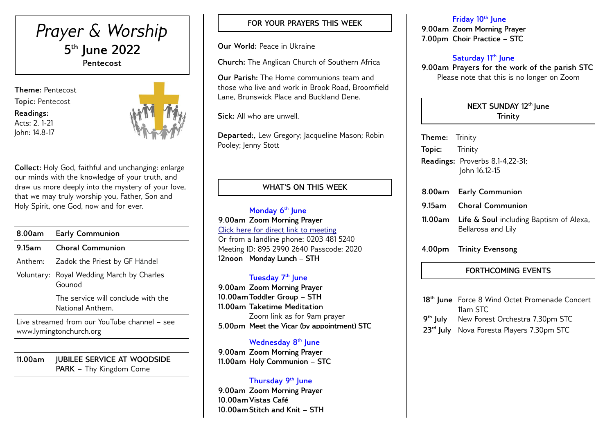

**Theme:** Pentecost **Topic:** Pentecost **Readings:**  Acts: 2. 1-21

John: 14.8-17



**Collect**: Holy God, faithful and unchanging: enlarge our minds with the knowledge of your truth, and draw us more deeply into the mystery of your love, that we may truly worship you, Father, Son and Holy Spirit, one God, now and for ever.

| 8.00am  | <b>Early Communion</b>                                 |
|---------|--------------------------------------------------------|
| 9.15am  | <b>Choral Communion</b>                                |
| Anthem: | Zadok the Priest by GF Händel                          |
|         | Voluntary: Royal Wedding March by Charles<br>Gounod    |
|         | The service will conclude with the<br>National Anthem. |
|         | $l$ ive streamed from our YouTube channel $=$ see      |

reamed from our YouTube channel www.lymingtonchurch.org

**11.00am JUBILEE SERVICE AT WOODSIDE PARK –** Thy Kingdom Come

## **FOR YOUR PRAYERS THIS WEEK**

**Our World:** Peace in Ukraine

**Church:** The Anglican Church of Southern Africa

**Our Parish:** The Home communions team and those who live and work in Brook Road, Broomfield Lane, Brunswick Place and Buckland Dene.

**Sick:** All who are unwell.

**Departed:,** Lew Gregory; Jacqueline Mason; Robin Pooley: Jenny Stott

## **WHAT'S ON THIS WEEK**

**Monday 6 th June 9.00am Zoom Morning Prayer** [Click here for direct link to meeting](https://us02web.zoom.us/j/89529902640?pwd=QVQxTGxjODdwV3ROT1gxM2NWUjN0dz09) Or from a landline phone: 0203 481 5240 Meeting ID: 895 2990 2640 Passcode: 2020 **12noon Monday Lunch – STH** 

### **Tuesday 7 th June**

**9.00am Zoom Morning Prayer 10.00amToddler Group – STH 11.00am Taketime Meditation**  Zoom link as for 9am prayer **5.00pm Meet the Vicar (by appointment) STC**

**Wednesday 8th June 9.00am Zoom Morning Prayer 11.00am Holy Communion – STC** 

## **Thursday 9th June**

**9.00am Zoom Morning Prayer 10.00amVistas Café 10.00amStitch and Knit – STH** 

#### **Friday 10th June**

**9.00am Zoom Morning Prayer 7.00pm Choir Practice – STC** 

## **Saturday 11th June**

**9.00am Prayers for the work of the parish STC** Please note that this is no longer on Zoom

#### **NEXT SUNDAY 12th June Trinity**

| <b>Theme:</b> Trinity |                                                  |
|-----------------------|--------------------------------------------------|
| <b>Topic:</b> Trinity |                                                  |
|                       | Readings: Proverbs 8.1-4,22-31;<br>John 16.12-15 |
|                       | 8.00am Early Communion                           |
|                       | 9.15am Choral Communion                          |
|                       | 11.00am Life & Soul including Baptism of Alexa,  |

- Bellarosa and Lily
- **4.00pm Trinity Evensong**

## **FORTHCOMING EVENTS**

|                      | 18 <sup>th</sup> June Force 8 Wind Octet Promenade Concert |
|----------------------|------------------------------------------------------------|
|                      | 11am STC                                                   |
| 9 <sup>th</sup> July | New Forest Orchestra 7.30pm STC                            |
|                      | 23 <sup>rd</sup> July Nova Foresta Players 7.30pm STC      |